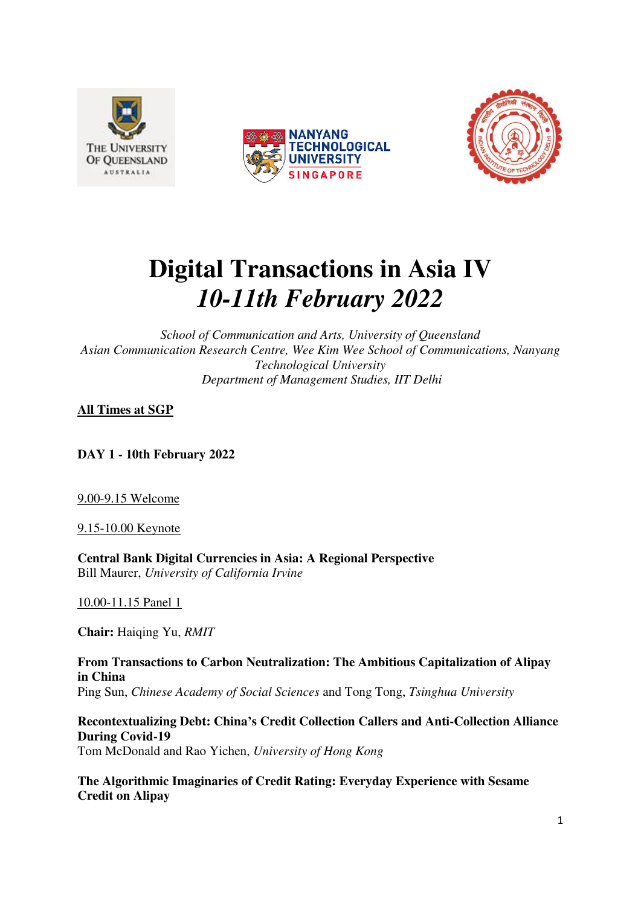





# **Digital Transactions in Asia IV**  *10-11th February 2022*

*School of Communication and Arts, University of Queensland Asian Communication Research Centre, Wee Kim Wee School of Communications, Nanyang Technological University Department of Management Studies, IIT Delhi* 

# **All Times at SGP**

**DAY 1 - 10th February 2022** 

9.00-9.15 Welcome

9.15-10.00 Keynote

**Central Bank Digital Currencies in Asia: A Regional Perspective**  Bill Maurer, *University of California Irvine* 

10.00-11.15 Panel 1

**Chair:** Haiqing Yu, *RMIT*

**From Transactions to Carbon Neutralization: The Ambitious Capitalization of Alipay in China**  Ping Sun, *Chinese Academy of Social Sciences* and Tong Tong, *Tsinghua University*

**Recontextualizing Debt: China's Credit Collection Callers and Anti-Collection Alliance During Covid-19**  Tom McDonald and Rao Yichen, *University of Hong Kong* 

**The Algorithmic Imaginaries of Credit Rating: Everyday Experience with Sesame Credit on Alipay**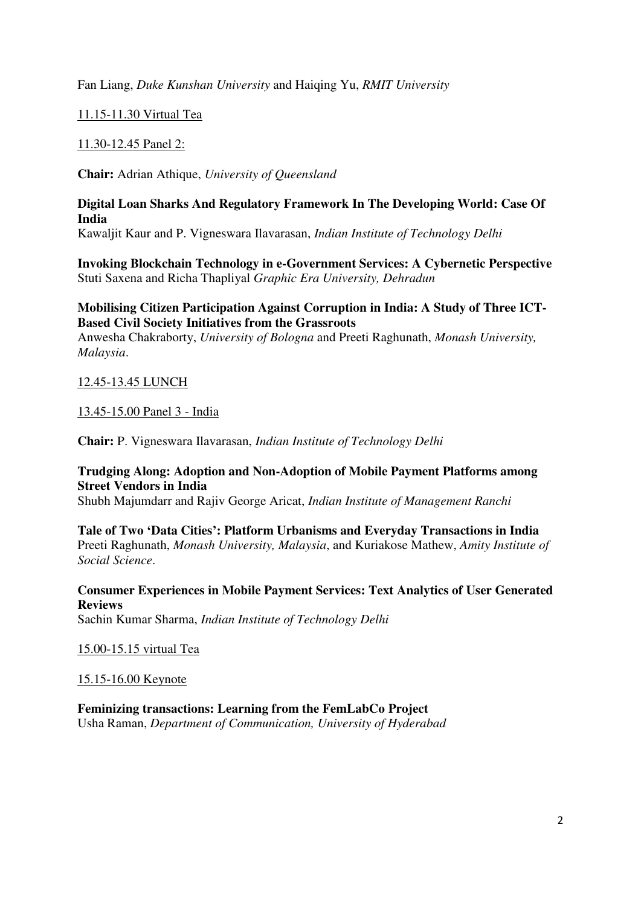Fan Liang, *Duke Kunshan University* and Haiqing Yu, *RMIT University*

# 11.15-11.30 Virtual Tea

#### 11.30-12.45 Panel 2:

**Chair:** Adrian Athique, *University of Queensland* 

#### **Digital Loan Sharks And Regulatory Framework In The Developing World: Case Of India**

Kawaljit Kaur and P. Vigneswara Ilavarasan, *Indian Institute of Technology Delhi*

**Invoking Blockchain Technology in e-Government Services: A Cybernetic Perspective**  Stuti Saxena and Richa Thapliyal *Graphic Era University, Dehradun* 

#### **Mobilising Citizen Participation Against Corruption in India: A Study of Three ICT-Based Civil Society Initiatives from the Grassroots**

Anwesha Chakraborty, *University of Bologna* and Preeti Raghunath, *Monash University, Malaysia*.

#### 12.45-13.45 LUNCH

#### 13.45-15.00 Panel 3 - India

**Chair:** P. Vigneswara Ilavarasan, *Indian Institute of Technology Delhi*

#### **Trudging Along: Adoption and Non-Adoption of Mobile Payment Platforms among Street Vendors in India**

Shubh Majumdarr and Rajiv George Aricat, *Indian Institute of Management Ranchi*

#### **Tale of Two 'Data Cities': Platform Urbanisms and Everyday Transactions in India**  Preeti Raghunath, *Monash University, Malaysia*, and Kuriakose Mathew, *Amity Institute of Social Science*.

**Consumer Experiences in Mobile Payment Services: Text Analytics of User Generated Reviews**  Sachin Kumar Sharma, *Indian Institute of Technology Delhi* 

15.00-15.15 virtual Tea

15.15-16.00 Keynote

**Feminizing transactions: Learning from the FemLabCo Project**  Usha Raman, *Department of Communication, University of Hyderabad*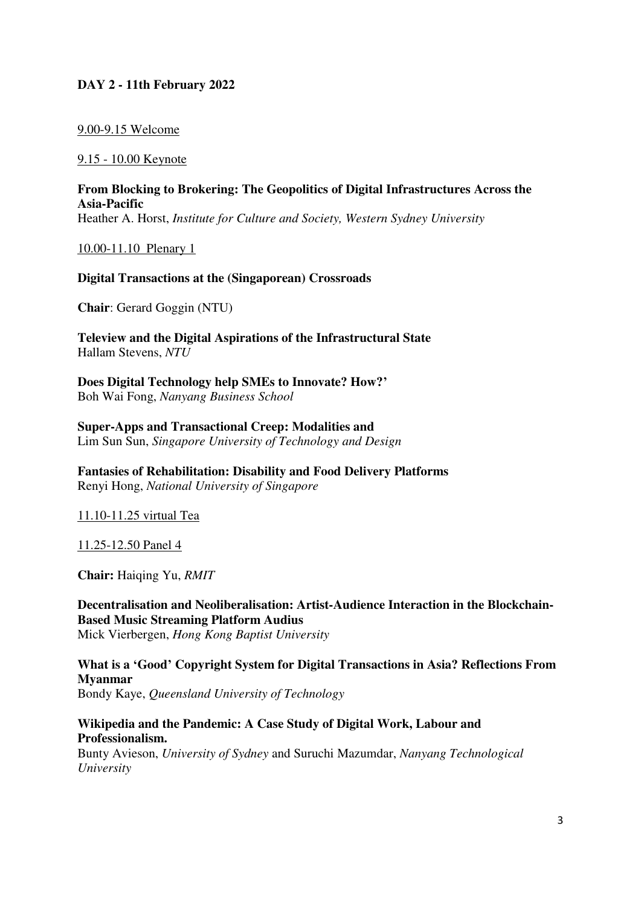# **DAY 2 - 11th February 2022**

#### 9.00-9.15 Welcome

#### 9.15 - 10.00 Keynote

**From Blocking to Brokering: The Geopolitics of Digital Infrastructures Across the Asia-Pacific**  Heather A. Horst, *Institute for Culture and Society, Western Sydney University*

10.00-11.10 Plenary 1

#### **Digital Transactions at the (Singaporean) Crossroads**

**Chair**: Gerard Goggin (NTU)

**Teleview and the Digital Aspirations of the Infrastructural State**  Hallam Stevens, *NTU* 

**Does Digital Technology help SMEs to Innovate? How?'** Boh Wai Fong, *Nanyang Business School* 

**Super-Apps and Transactional Creep: Modalities and**  Lim Sun Sun, *Singapore University of Technology and Design* 

**Fantasies of Rehabilitation: Disability and Food Delivery Platforms**  Renyi Hong, *National University of Singapore* 

11.10-11.25 virtual Tea

11.25-12.50 Panel 4

**Chair:** Haiqing Yu, *RMIT*

**Decentralisation and Neoliberalisation: Artist-Audience Interaction in the Blockchain-Based Music Streaming Platform Audius**  Mick Vierbergen, *Hong Kong Baptist University*

**What is a 'Good' Copyright System for Digital Transactions in Asia? Reflections From Myanmar**  Bondy Kaye, *Queensland University of Technology* 

# **Wikipedia and the Pandemic: A Case Study of Digital Work, Labour and Professionalism.**

Bunty Avieson, *University of Sydney* and Suruchi Mazumdar, *Nanyang Technological University*